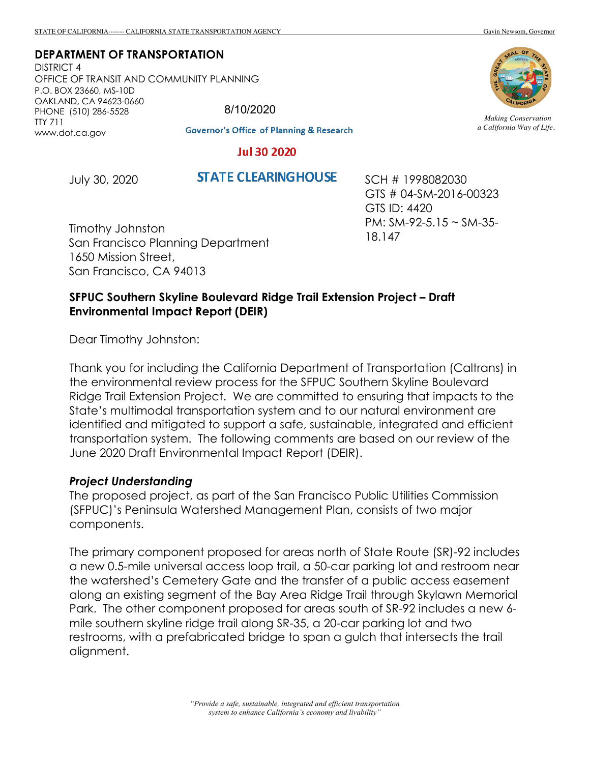#### **DEPARTMENT OF TRANSPORTATION**

DISTRICT 4 OFFICE OF TRANSIT AND COMMUNITY PLANNING P.O. BOX 23660, MS-10D OAKLAND, CA 94623-0660 PHONE (510) 286-5528 TTY 711 www.dot.ca.gov

8/10/2020

**Governor's Office of Planning & Research** 

#### **Jul 30 2020**

July 30, 2020

**STATE CLEARING HOUSE** 

SCH # 1998082030 GTS # 04-SM-2016-00323 GTS ID: 4420 PM: SM-92-5.15 ~ SM-35- 18.147

Timothy Johnston San Francisco Planning Department 1650 Mission Street, San Francisco, CA 94013

## **SFPUC Southern Skyline Boulevard Ridge Trail Extension Project – Draft Environmental Impact Report (DEIR)**

Dear Timothy Johnston:

Thank you for including the California Department of Transportation (Caltrans) in the environmental review process for the SFPUC Southern Skyline Boulevard Ridge Trail Extension Project. We are committed to ensuring that impacts to the State's multimodal transportation system and to our natural environment are identified and mitigated to support a safe, sustainable, integrated and efficient transportation system. The following comments are based on our review of the June 2020 Draft Environmental Impact Report (DEIR).

#### *Project Understanding*

The proposed project, as part of the San Francisco Public Utilities Commission (SFPUC)'s Peninsula Watershed Management Plan, consists of two major components.

The primary component proposed for areas north of State Route (SR)-92 includes a new 0.5-mile universal access loop trail, a 50-car parking lot and restroom near the watershed's Cemetery Gate and the transfer of a public access easement along an existing segment of the Bay Area Ridge Trail through Skylawn Memorial Park. The other component proposed for areas south of SR-92 includes a new 6 mile southern skyline ridge trail along SR-35, a 20-car parking lot and two restrooms, with a prefabricated bridge to span a gulch that intersects the trail alignment.



*Making Conservation a California Way of Life.*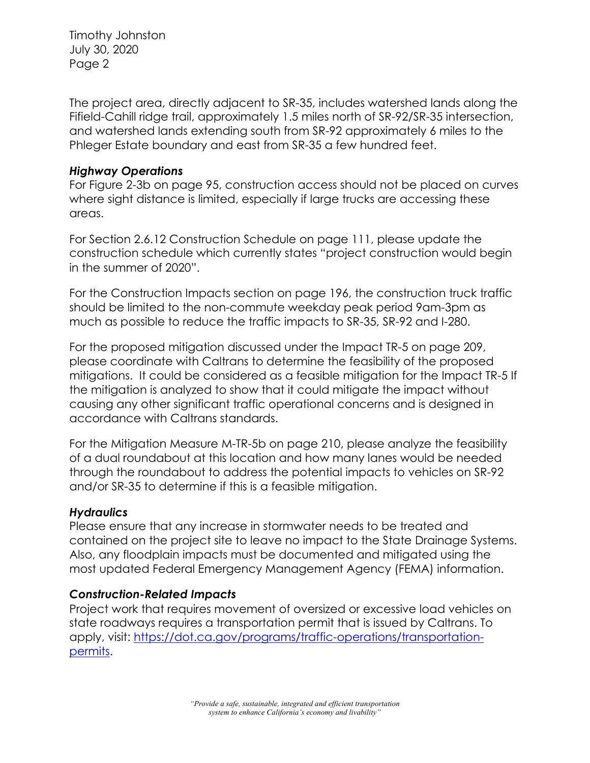Timothy Johnston July 30, 2020 Page 2

The project area, directly adjacent to SR-35, includes watershed lands along the Fifield-Cahill ridge trail, approximately 1.5 miles north of SR-92/SR-35 intersection, and watershed lands extending south from SR-92 approximately 6 miles to the Phleger Estate boundary and east from SR-35 a few hundred feet.

## *Highway Operations*

For Figure 2-3b on page 95, construction access should not be placed on curves where sight distance is limited, especially if large trucks are accessing these areas.

For Section 2.6.12 Construction Schedule on page 111, please update the construction schedule which currently states "project construction would begin in the summer of 2020".

For the Construction Impacts section on page 196, the construction truck traffic should be limited to the non-commute weekday peak period 9am-3pm as much as possible to reduce the traffic impacts to SR-35, SR-92 and I-280.

For the proposed mitigation discussed under the Impact TR-5 on page 209, please coordinate with Caltrans to determine the feasibility of the proposed mitigations. It could be considered as a feasible mitigation for the Impact TR-5 If the mitigation is analyzed to show that it could mitigate the impact without causing any other significant traffic operational concerns and is designed in accordance with Caltrans standards.

For the Mitigation Measure M-TR-5b on page 210, please analyze the feasibility of a dual roundabout at this location and how many lanes would be needed through the roundabout to address the potential impacts to vehicles on SR-92 and/or SR-35 to determine if this is a feasible mitigation.

# *Hydraulics*

Please ensure that any increase in stormwater needs to be treated and contained on the project site to leave no impact to the State Drainage Systems. Also, any floodplain impacts must be documented and mitigated using the most updated Federal Emergency Management Agency (FEMA) information.

# *Construction-Related Impacts*

Project work that requires movement of oversized or excessive load vehicles on state roadways requires a transportation permit that is issued by Caltrans. To apply, visit: https://dot.ca.gov/programs/traffic-operations/transportationpermits.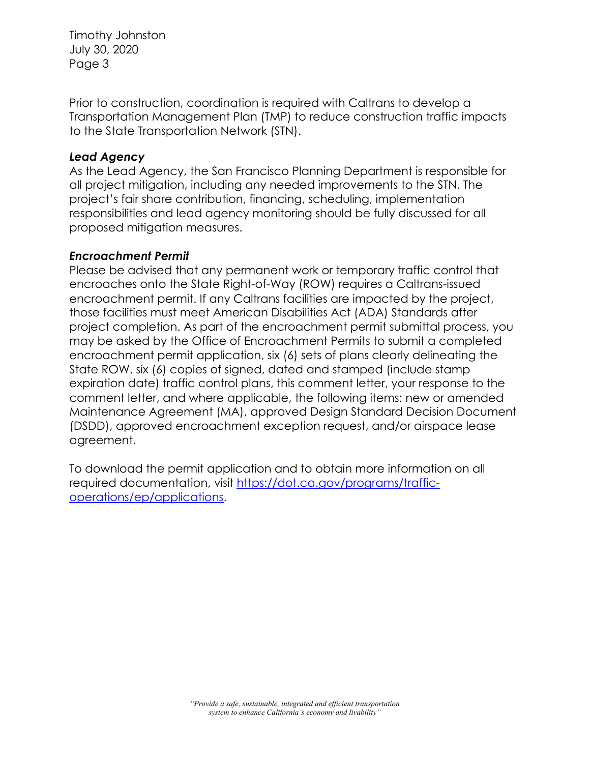Timothy Johnston July 30, 2020 Page 3

Prior to construction, coordination is required with Caltrans to develop a Transportation Management Plan (TMP) to reduce construction traffic impacts to the State Transportation Network (STN).

## *Lead Agency*

As the Lead Agency, the San Francisco Planning Department is responsible for all project mitigation, including any needed improvements to the STN. The project's fair share contribution, financing, scheduling, implementation responsibilities and lead agency monitoring should be fully discussed for all proposed mitigation measures.

## *Encroachment Permit*

Please be advised that any permanent work or temporary traffic control that encroaches onto the State Right-of-Way (ROW) requires a Caltrans-issued encroachment permit. If any Caltrans facilities are impacted by the project, those facilities must meet American Disabilities Act (ADA) Standards after project completion. As part of the encroachment permit submittal process, you may be asked by the Office of Encroachment Permits to submit a completed encroachment permit application, six (6) sets of plans clearly delineating the State ROW, six (6) copies of signed, dated and stamped (include stamp expiration date) traffic control plans, this comment letter, your response to the comment letter, and where applicable, the following items: new or amended Maintenance Agreement (MA), approved Design Standard Decision Document (DSDD), approved encroachment exception request, and/or airspace lease agreement.

To download the permit application and to obtain more information on all required documentation, visit https://dot.ca.gov/programs/trafficoperations/ep/applications.